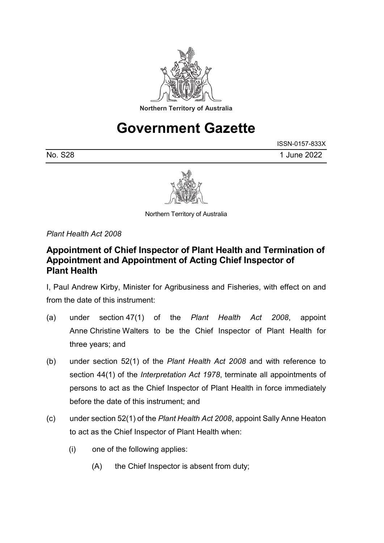

## **Government Gazette**

|         | ISSN-0157-833X |
|---------|----------------|
| No. S28 | 1 June 2022    |



Northern Territory of Australia

*Plant Health Act 2008*

## **Appointment of Chief Inspector of Plant Health and Termination of Appointment and Appointment of Acting Chief Inspector of Plant Health**

I, Paul Andrew Kirby, Minister for Agribusiness and Fisheries, with effect on and from the date of this instrument:

- (a) under section 47(1) of the *Plant Health Act 2008*, appoint Anne Christine Walters to be the Chief Inspector of Plant Health for three years; and
- (b) under section 52(1) of the *Plant Health Act 2008* and with reference to section 44(1) of the *Interpretation Act 1978*, terminate all appointments of persons to act as the Chief Inspector of Plant Health in force immediately before the date of this instrument; and
- (c) under section 52(1) of the *Plant Health Act 2008*, appoint Sally Anne Heaton to act as the Chief Inspector of Plant Health when:
	- (i) one of the following applies:
		- (A) the Chief Inspector is absent from duty;